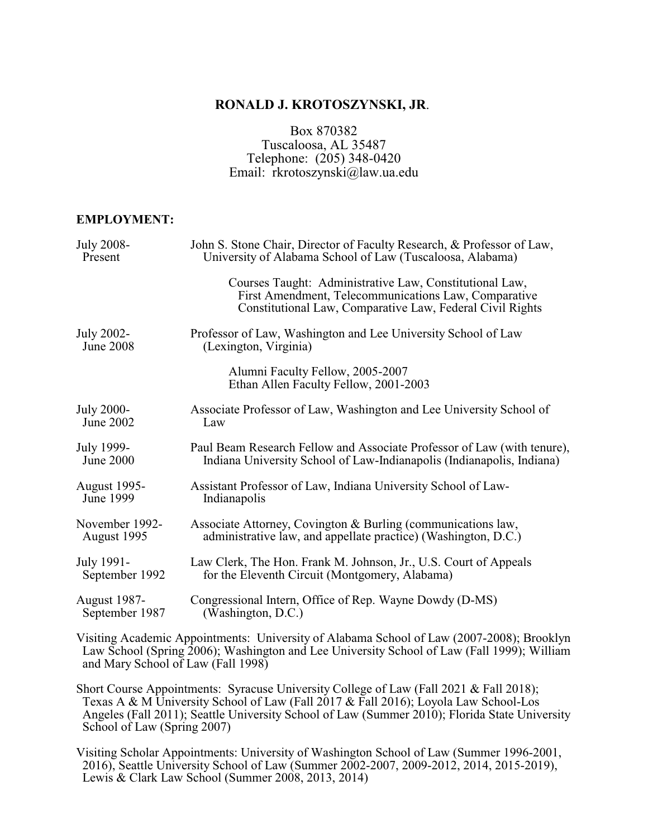# **RONALD J. KROTOSZYNSKI, JR**.

Box 870382 Tuscaloosa, AL 35487 Telephone: (205) 348-0420 Email: rkrotoszynski@law.ua.edu

#### **EMPLOYMENT:**

| <b>July 2008-</b>              | John S. Stone Chair, Director of Faculty Research, & Professor of Law,                                                                                                       |
|--------------------------------|------------------------------------------------------------------------------------------------------------------------------------------------------------------------------|
| Present                        | University of Alabama School of Law (Tuscaloosa, Alabama)                                                                                                                    |
|                                | Courses Taught: Administrative Law, Constitutional Law,<br>First Amendment, Telecommunications Law, Comparative<br>Constitutional Law, Comparative Law, Federal Civil Rights |
| July 2002-<br><b>June 2008</b> | Professor of Law, Washington and Lee University School of Law<br>(Lexington, Virginia)                                                                                       |
|                                | Alumni Faculty Fellow, 2005-2007<br>Ethan Allen Faculty Fellow, 2001-2003                                                                                                    |
| <b>July 2000-</b>              | Associate Professor of Law, Washington and Lee University School of                                                                                                          |
| June 2002                      | Law                                                                                                                                                                          |
| July 1999-                     | Paul Beam Research Fellow and Associate Professor of Law (with tenure),                                                                                                      |
| June 2000                      | Indiana University School of Law-Indianapolis (Indianapolis, Indiana)                                                                                                        |
| <b>August 1995-</b>            | Assistant Professor of Law, Indiana University School of Law-                                                                                                                |
| June 1999                      | Indianapolis                                                                                                                                                                 |
| November 1992-                 | Associate Attorney, Covington & Burling (communications law,                                                                                                                 |
| August 1995                    | administrative law, and appellate practice) (Washington, D.C.)                                                                                                               |
| July 1991-                     | Law Clerk, The Hon. Frank M. Johnson, Jr., U.S. Court of Appeals                                                                                                             |
| September 1992                 | for the Eleventh Circuit (Montgomery, Alabama)                                                                                                                               |
| <b>August 1987-</b>            | Congressional Intern, Office of Rep. Wayne Dowdy (D-MS)                                                                                                                      |
| September 1987                 | (Washington, D.C.)                                                                                                                                                           |

Visiting Academic Appointments: University of Alabama School of Law (2007-2008); Brooklyn Law School (Spring 2006); Washington and Lee University School of Law (Fall 1999); William and Mary School of Law (Fall 1998)

Short Course Appointments: Syracuse University College of Law (Fall 2021 & Fall 2018); Texas A & M University School of Law (Fall 2017 & Fall 2016); Loyola Law School-Los Angeles (Fall 2011); Seattle University School of Law (Summer 2010); Florida State University School of Law (Spring 2007)

Visiting Scholar Appointments: University of Washington School of Law (Summer 1996-2001, 2016), Seattle University School of Law (Summer 2002-2007, 2009-2012, 2014, 2015-2019), Lewis & Clark Law School (Summer 2008, 2013, 2014)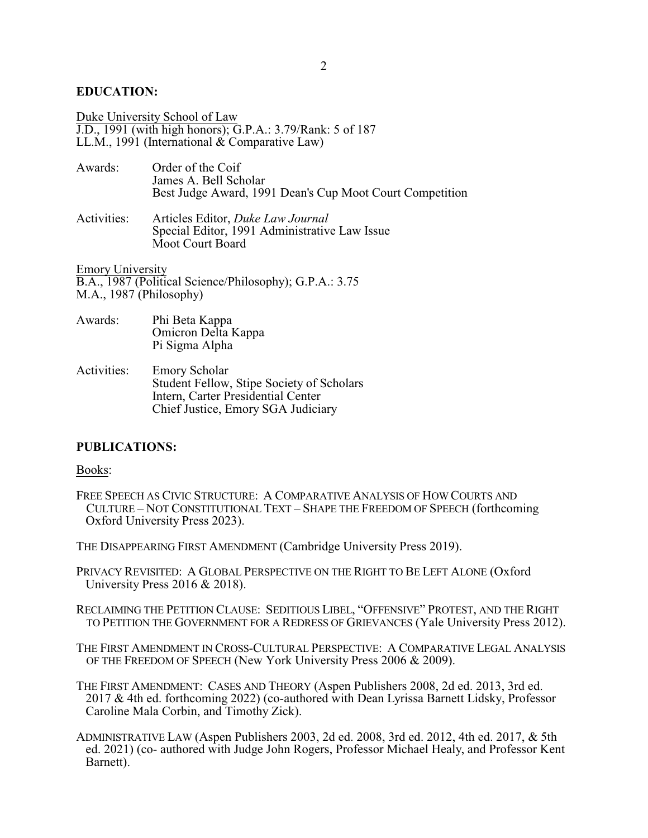## **EDUCATION:**

Duke University School of Law J.D., 1991 (with high honors); G.P.A.: 3.79/Rank: 5 of 187 LL.M., 1991 (International  $\&$  Comparative Law)

| Awards:     | Order of the Coif<br>James A. Bell Scholar<br>Best Judge Award, 1991 Dean's Cup Moot Court Competition |
|-------------|--------------------------------------------------------------------------------------------------------|
| Activities: | Articles Editor, Duke Law Journal<br>Special Editor, 1991 Administrative Law Issue                     |

Emory University B.A., 1987 (Political Science/Philosophy); G.P.A.: 3.75

Moot Court Board

M.A., 1987 (Philosophy)

- Awards: Phi Beta Kappa Omicron Delta Kappa Pi Sigma Alpha
- Activities: Emory Scholar Student Fellow, Stipe Society of Scholars Intern, Carter Presidential Center Chief Justice, Emory SGA Judiciary

## **PUBLICATIONS:**

#### Books:

FREE SPEECH AS CIVIC STRUCTURE: A COMPARATIVE ANALYSIS OF HOW COURTS AND CULTURE – NOT CONSTITUTIONAL TEXT – SHAPE THE FREEDOM OF SPEECH (forthcoming Oxford University Press 2023).

THE DISAPPEARING FIRST AMENDMENT (Cambridge University Press 2019).

PRIVACY REVISITED: A GLOBAL PERSPECTIVE ON THE RIGHT TO BE LEFT ALONE (Oxford University Press 2016 & 2018).

RECLAIMING THE PETITION CLAUSE: SEDITIOUS LIBEL, "OFFENSIVE" PROTEST, AND THE RIGHT TO PETITION THE GOVERNMENT FOR A REDRESS OF GRIEVANCES (Yale University Press 2012).

THE FIRST AMENDMENT IN CROSS-CULTURAL PERSPECTIVE: A COMPARATIVE LEGAL ANALYSIS OF THE FREEDOM OF SPEECH (New York University Press 2006 & 2009).

THE FIRST AMENDMENT: CASES AND THEORY (Aspen Publishers 2008, 2d ed. 2013, 3rd ed. 2017 & 4th ed. forthcoming 2022) (co-authored with Dean Lyrissa Barnett Lidsky, Professor Caroline Mala Corbin, and Timothy Zick).

ADMINISTRATIVE LAW (Aspen Publishers 2003, 2d ed. 2008, 3rd ed. 2012, 4th ed. 2017, & 5th ed. 2021) (co- authored with Judge John Rogers, Professor Michael Healy, and Professor Kent Barnett).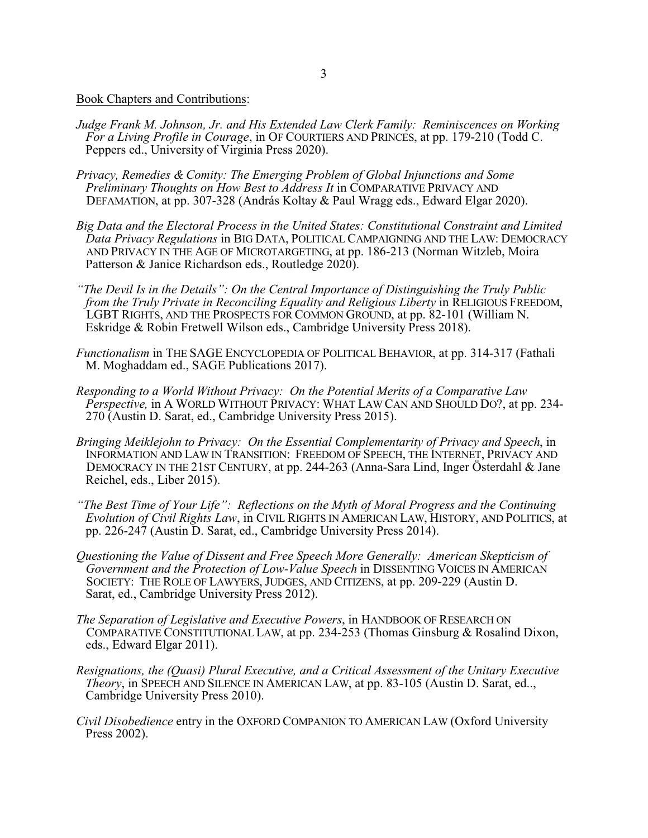Book Chapters and Contributions:

- *Judge Frank M. Johnson, Jr. and His Extended Law Clerk Family: Reminiscences on Working For a Living Profile in Courage*, in OF COURTIERS AND PRINCES, at pp. 179-210 (Todd C. Peppers ed., University of Virginia Press 2020).
- *Privacy, Remedies & Comity: The Emerging Problem of Global Injunctions and Some Preliminary Thoughts on How Best to Address It* in COMPARATIVE PRIVACY AND DEFAMATION, at pp. 307-328 (András Koltay & Paul Wragg eds., Edward Elgar 2020).
- *Big Data and the Electoral Process in the United States: Constitutional Constraint and Limited Data Privacy Regulations* in BIG DATA, POLITICAL CAMPAIGNING AND THE LAW: DEMOCRACY AND PRIVACY IN THE AGE OF MICROTARGETING, at pp. 186-213 (Norman Witzleb, Moira Patterson & Janice Richardson eds., Routledge 2020).
- *"The Devil Is in the Details": On the Central Importance of Distinguishing the Truly Public from the Truly Private in Reconciling Equality and Religious Liberty* in RELIGIOUS FREEDOM, LGBT RIGHTS, AND THE PROSPECTS FOR COMMON GROUND, at pp. 82-101 (William N. Eskridge & Robin Fretwell Wilson eds., Cambridge University Press 2018).
- *Functionalism* in THE SAGE ENCYCLOPEDIA OF POLITICAL BEHAVIOR, at pp. 314-317 (Fathali M. Moghaddam ed., SAGE Publications 2017).
- *Responding to a World Without Privacy: On the Potential Merits of a Comparative Law Perspective,* in A WORLD WITHOUT PRIVACY: WHAT LAW CAN AND SHOULD DO?, at pp. 234- 270 (Austin D. Sarat, ed., Cambridge University Press 2015).
- *Bringing Meiklejohn to Privacy: On the Essential Complementarity of Privacy and Speech*, in INFORMATION AND LAW IN TRANSITION: FREEDOM OF SPEECH, THE INTERNET, PRIVACY AND DEMOCRACY IN THE 21ST CENTURY, at pp. 244-263 (Anna-Sara Lind, Inger Österdahl & Jane Reichel, eds., Liber 2015).
- *"The Best Time of Your Life": Reflections on the Myth of Moral Progress and the Continuing Evolution of Civil Rights Law*, in CIVIL RIGHTS IN AMERICAN LAW, HISTORY, AND POLITICS, at pp. 226-247 (Austin D. Sarat, ed., Cambridge University Press 2014).
- *Questioning the Value of Dissent and Free Speech More Generally: American Skepticism of Government and the Protection of Low-Value Speech* in DISSENTING VOICES IN AMERICAN SOCIETY: THE ROLE OF LAWYERS, JUDGES, AND CITIZENS, at pp. 209-229 (Austin D. Sarat, ed., Cambridge University Press 2012).
- *The Separation of Legislative and Executive Powers*, in HANDBOOK OF RESEARCH ON COMPARATIVE CONSTITUTIONAL LAW, at pp. 234-253 (Thomas Ginsburg & Rosalind Dixon, eds., Edward Elgar 2011).
- *Resignations, the (Quasi) Plural Executive, and a Critical Assessment of the Unitary Executive Theory*, in SPEECH AND SILENCE IN AMERICAN LAW, at pp. 83-105 (Austin D. Sarat, ed.., Cambridge University Press 2010).
- *Civil Disobedience* entry in the OXFORD COMPANION TO AMERICAN LAW (Oxford University Press 2002).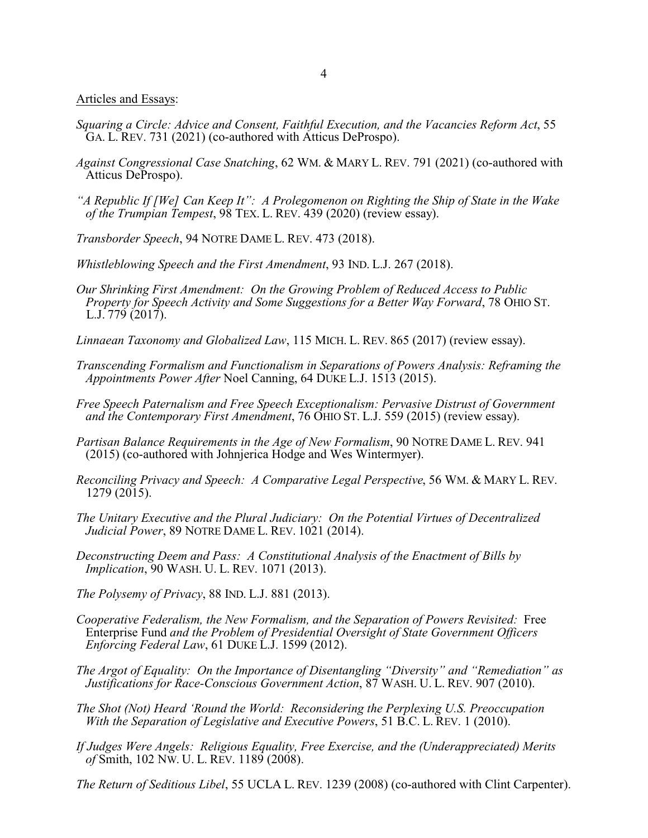Articles and Essays:

- *Squaring a Circle: Advice and Consent, Faithful Execution, and the Vacancies Reform Act*, 55 GA. L. REV. 731 (2021) (co-authored with Atticus DeProspo).
- *Against Congressional Case Snatching*, 62 WM. & MARY L. REV. 791 (2021) (co-authored with Atticus DeProspo).
- *"A Republic If [We] Can Keep It": A Prolegomenon on Righting the Ship of State in the Wake of the Trumpian Tempest*, 98 TEX. L. REV. 439 (2020) (review essay).
- *Transborder Speech*, 94 NOTRE DAME L. REV. 473 (2018).
- *Whistleblowing Speech and the First Amendment*, 93 IND. L.J. 267 (2018).
- *Our Shrinking First Amendment: On the Growing Problem of Reduced Access to Public Property for Speech Activity and Some Suggestions for a Better Way Forward*, 78 OHIO ST. L.J. 779 (2017).
- *Linnaean Taxonomy and Globalized Law*, 115 MICH. L. REV. 865 (2017) (review essay).
- *Transcending Formalism and Functionalism in Separations of Powers Analysis: Reframing the Appointments Power After* Noel Canning, 64 DUKE L.J. 1513 (2015).
- *Free Speech Paternalism and Free Speech Exceptionalism: Pervasive Distrust of Government and the Contemporary First Amendment*, 76 OHIO ST. L.J. 559 (2015) (review essay).
- *Partisan Balance Requirements in the Age of New Formalism*, 90 NOTRE DAME L. REV. 941 (2015) (co-authored with Johnjerica Hodge and Wes Wintermyer).
- *Reconciling Privacy and Speech: A Comparative Legal Perspective*, 56 WM. & MARY L. REV. 1279 (2015).
- *The Unitary Executive and the Plural Judiciary: On the Potential Virtues of Decentralized Judicial Power*, 89 NOTRE DAME L. REV. 1021 (2014).
- *Deconstructing Deem and Pass: A Constitutional Analysis of the Enactment of Bills by Implication*, 90 WASH. U. L. REV. 1071 (2013).
- *The Polysemy of Privacy*, 88 IND. L.J. 881 (2013).
- *Cooperative Federalism, the New Formalism, and the Separation of Powers Revisited:* Free Enterprise Fund *and the Problem of Presidential Oversight of State Government Officers Enforcing Federal Law*, 61 DUKE L.J. 1599 (2012).
- *The Argot of Equality: On the Importance of Disentangling "Diversity" and "Remediation" as Justifications for Race-Conscious Government Action*, 87 WASH. U. L. REV. 907 (2010).
- *The Shot (Not) Heard 'Round the World: Reconsidering the Perplexing U.S. Preoccupation With the Separation of Legislative and Executive Powers*, 51 B.C. L. REV. 1 (2010).
- *If Judges Were Angels: Religious Equality, Free Exercise, and the (Underappreciated) Merits of* Smith, 102 NW. U. L. REV. 1189 (2008).

*The Return of Seditious Libel*, 55 UCLA L. REV. 1239 (2008) (co-authored with Clint Carpenter).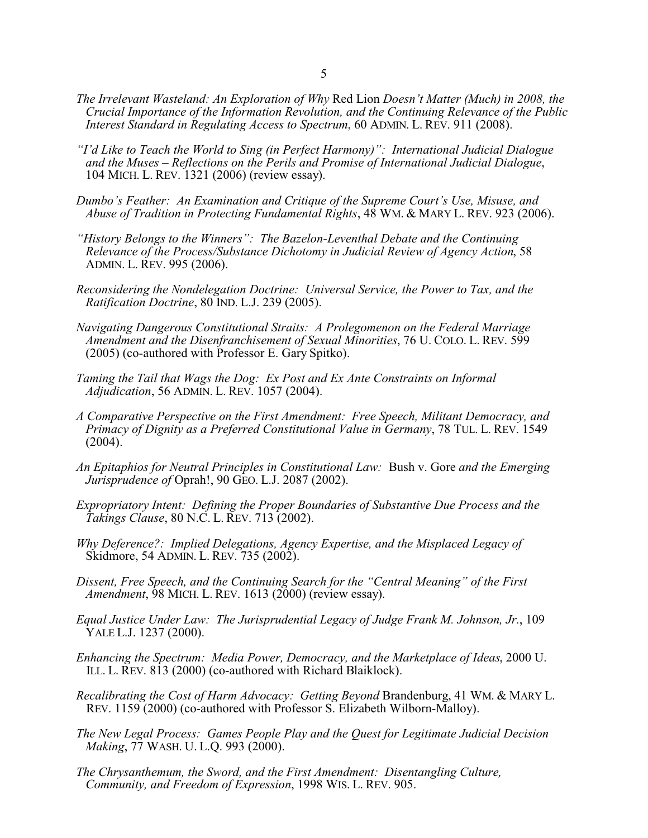- *The Irrelevant Wasteland: An Exploration of Why* Red Lion *Doesn't Matter (Much) in 2008, the Crucial Importance of the Information Revolution, and the Continuing Relevance of the Public Interest Standard in Regulating Access to Spectrum*, 60 ADMIN. L. REV. 911 (2008).
- *"I'd Like to Teach the World to Sing (in Perfect Harmony)": International Judicial Dialogue and the Muses – Reflections on the Perils and Promise of International Judicial Dialogue*, 104 MICH. L. REV. 1321 (2006) (review essay).
- *Dumbo's Feather: An Examination and Critique of the Supreme Court's Use, Misuse, and Abuse of Tradition in Protecting Fundamental Rights*, 48 WM. & MARY L. REV. 923 (2006).
- *"History Belongs to the Winners": The Bazelon-Leventhal Debate and the Continuing Relevance of the Process/Substance Dichotomy in Judicial Review of Agency Action*, 58 ADMIN. L. REV. 995 (2006).
- *Reconsidering the Nondelegation Doctrine: Universal Service, the Power to Tax, and the Ratification Doctrine*, 80 IND. L.J. 239 (2005).
- *Navigating Dangerous Constitutional Straits: A Prolegomenon on the Federal Marriage Amendment and the Disenfranchisement of Sexual Minorities*, 76 U. COLO. L. REV. 599 (2005) (co-authored with Professor E. Gary Spitko).
- *Taming the Tail that Wags the Dog: Ex Post and Ex Ante Constraints on Informal Adjudication*, 56 ADMIN. L. REV. 1057 (2004).
- *A Comparative Perspective on the First Amendment: Free Speech, Militant Democracy, and Primacy of Dignity as a Preferred Constitutional Value in Germany*, 78 TUL. L. REV. 1549  $(2004).$
- *An Epitaphios for Neutral Principles in Constitutional Law:* Bush v. Gore *and the Emerging Jurisprudence of* Oprah!, 90 GEO. L.J. 2087 (2002).
- *Expropriatory Intent: Defining the Proper Boundaries of Substantive Due Process and the Takings Clause*, 80 N.C. L. REV. 713 (2002).
- *Why Deference?: Implied Delegations, Agency Expertise, and the Misplaced Legacy of* Skidmore, 54 ADMIN. L. REV. 735 (2002).
- *Dissent, Free Speech, and the Continuing Search for the "Central Meaning" of the First Amendment*, 98 MICH. L. REV. 1613 (2000) (review essay).
- *Equal Justice Under Law: The Jurisprudential Legacy of Judge Frank M. Johnson, Jr.*, 109 YALE L.J. 1237 (2000).
- *Enhancing the Spectrum: Media Power, Democracy, and the Marketplace of Ideas*, 2000 U. ILL. L. REV. 813 (2000) (co-authored with Richard Blaiklock).
- *Recalibrating the Cost of Harm Advocacy: Getting Beyond Brandenburg, 41 WM. & MARY L.* REV. 1159 (2000) (co-authored with Professor S. Elizabeth Wilborn-Malloy).
- *The New Legal Process: Games People Play and the Quest for Legitimate Judicial Decision Making*, 77 WASH. U. L.Q. 993 (2000).
- *The Chrysanthemum, the Sword, and the First Amendment: Disentangling Culture, Community, and Freedom of Expression*, 1998 WIS. L. REV. 905.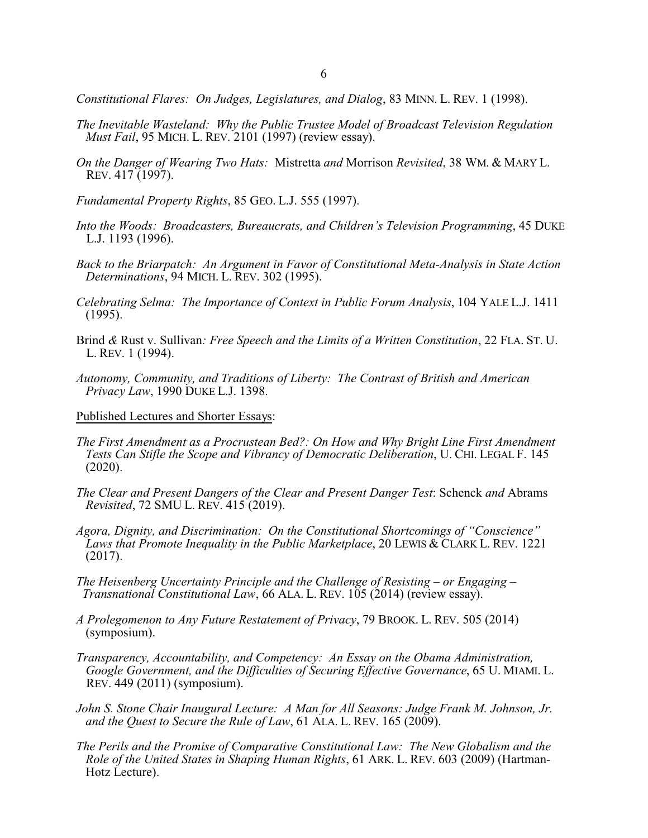*Constitutional Flares: On Judges, Legislatures, and Dialog*, 83 MINN. L. REV. 1 (1998).

- *The Inevitable Wasteland: Why the Public Trustee Model of Broadcast Television Regulation Must Fail*, 95 MICH. L. REV. 2101 (1997) (review essay).
- *On the Danger of Wearing Two Hats:* Mistretta *and* Morrison *Revisited*, 38 WM. & MARY L. REV. 417 (1997).
- *Fundamental Property Rights*, 85 GEO. L.J. 555 (1997).
- *Into the Woods: Broadcasters, Bureaucrats, and Children's Television Programming*, 45 DUKE L.J. 1193 (1996).
- *Back to the Briarpatch: An Argument in Favor of Constitutional Meta-Analysis in State Action Determinations*, 94 MICH. L. REV. 302 (1995).
- *Celebrating Selma: The Importance of Context in Public Forum Analysis*, 104 YALE L.J. 1411 (1995).
- Brind *&* Rust v. Sullivan*: Free Speech and the Limits of a Written Constitution*, 22 FLA. ST. U. L. REV. 1 (1994).
- *Autonomy, Community, and Traditions of Liberty: The Contrast of British and American Privacy Law*, 1990 DUKE L.J. 1398.
- Published Lectures and Shorter Essays:
- *The First Amendment as a Procrustean Bed?: On How and Why Bright Line First Amendment Tests Can Stifle the Scope and Vibrancy of Democratic Deliberation*, U. CHI. LEGAL F. 145 (2020).
- *The Clear and Present Dangers of the Clear and Present Danger Test*: Schenck *and* Abrams *Revisited*, 72 SMU L. REV. 415 (2019).
- *Agora, Dignity, and Discrimination: On the Constitutional Shortcomings of "Conscience" Laws that Promote Inequality in the Public Marketplace*, 20 LEWIS & CLARK L. REV. 1221 (2017).
- *The Heisenberg Uncertainty Principle and the Challenge of Resisting or Engaging – Transnational Constitutional Law*, 66 ALA. L. REV. 105 (2014) (review essay).
- *A Prolegomenon to Any Future Restatement of Privacy*, 79 BROOK. L. REV. 505 (2014) (symposium).
- *Transparency, Accountability, and Competency: An Essay on the Obama Administration, Google Government, and the Difficulties of Securing Effective Governance*, 65 U. MIAMI. L. REV. 449 (2011) (symposium).
- *John S. Stone Chair Inaugural Lecture: A Man for All Seasons: Judge Frank M. Johnson, Jr. and the Quest to Secure the Rule of Law*, 61 ALA. L. REV. 165 (2009).
- *The Perils and the Promise of Comparative Constitutional Law: The New Globalism and the Role of the United States in Shaping Human Rights*, 61 ARK. L. REV. 603 (2009) (Hartman- Hotz Lecture).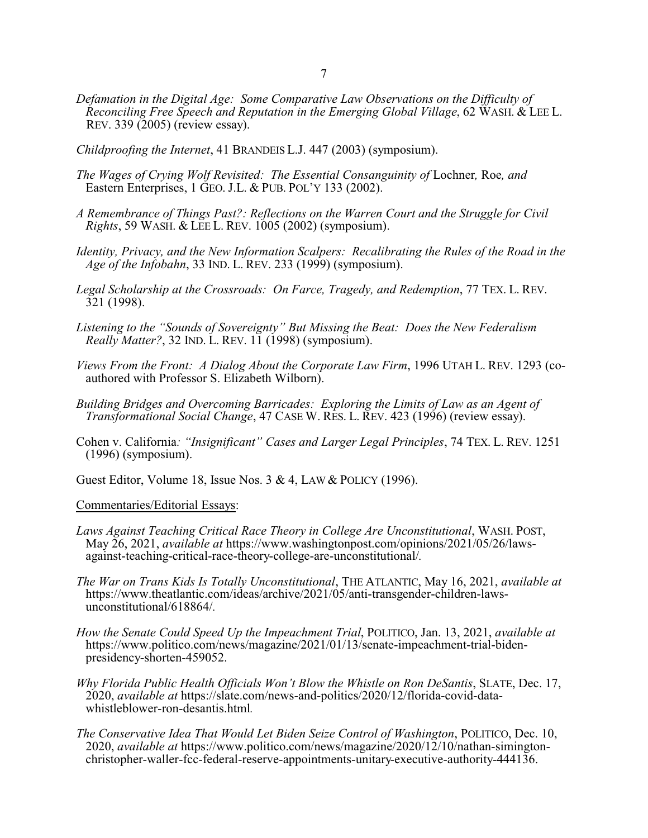- *Defamation in the Digital Age: Some Comparative Law Observations on the Difficulty of Reconciling Free Speech and Reputation in the Emerging Global Village*, 62 WASH. & LEE L. REV. 339 (2005) (review essay).
- *Childproofing the Internet*, 41 BRANDEIS L.J. 447 (2003) (symposium).
- *The Wages of Crying Wolf Revisited: The Essential Consanguinity of Lochner, Roe, and* Eastern Enterprises, 1 GEO. J.L. & PUB. POL'Y 133 (2002).
- *A Remembrance of Things Past?: Reflections on the Warren Court and the Struggle for Civil Rights*, 59 WASH. & LEE L. REV. 1005 (2002) (symposium).
- *Identity, Privacy, and the New Information Scalpers: Recalibrating the Rules of the Road in the Age of the Infobahn*, 33 IND. L. REV. 233 (1999) (symposium).
- *Legal Scholarship at the Crossroads: On Farce, Tragedy, and Redemption*, 77 TEX. L. REV. 321 (1998).
- *Listening to the "Sounds of Sovereignty" But Missing the Beat: Does the New Federalism Really Matter?*, 32 IND. L. REV. 11 (1998) (symposium).
- *Views From the Front: A Dialog About the Corporate Law Firm*, 1996 UTAH L. REV. 1293 (co authored with Professor S. Elizabeth Wilborn).
- *Building Bridges and Overcoming Barricades: Exploring the Limits of Law as an Agent of Transformational Social Change*, 47 CASE W. RES. L. REV. 423 (1996) (review essay).
- Cohen v. California*: "Insignificant" Cases and Larger Legal Principles*, 74 TEX. L. REV. 1251 (1996) (symposium).
- Guest Editor, Volume 18, Issue Nos. 3 & 4, LAW & POLICY (1996).

#### Commentaries/Editorial Essays:

- *Laws Against Teaching Critical Race Theory in College Are Unconstitutional*, WASH. POST, May 26, 2021, *available at* https://www.washingtonpost.com/opinions/2021/05/26/laws against-teaching-critical-race-theory-college-are-unconstitutional/*.*
- *The War on Trans Kids Is Totally Unconstitutional*, THE ATLANTIC, May 16, 2021, *available at* https://www.theatlantic.com/ideas/archive/2021/05/anti-transgender-children-laws unconstitutional/618864/*.*
- *How the Senate Could Speed Up the Impeachment Trial*, POLITICO, Jan. 13, 2021, *available at* https://www.politico.com/news/magazine/2021/01/13/senate-impeachment-trial-biden presidency-shorten-459052.
- *Why Florida Public Health Officials Won't Blow the Whistle on Ron DeSantis*, SLATE, Dec. 17, 2020, *available at* https://slate.com/news-and-politics/2020/12/florida-covid-data whistleblower-ron-desantis.html*.*
- *The Conservative Idea That Would Let Biden Seize Control of Washington*, POLITICO, Dec. 10, 2020, *available at* https://www.politico.com/news/magazine/2020/12/10/nathan-simington christopher-waller-fcc-federal-reserve-appointments-unitary-executive-authority-444136.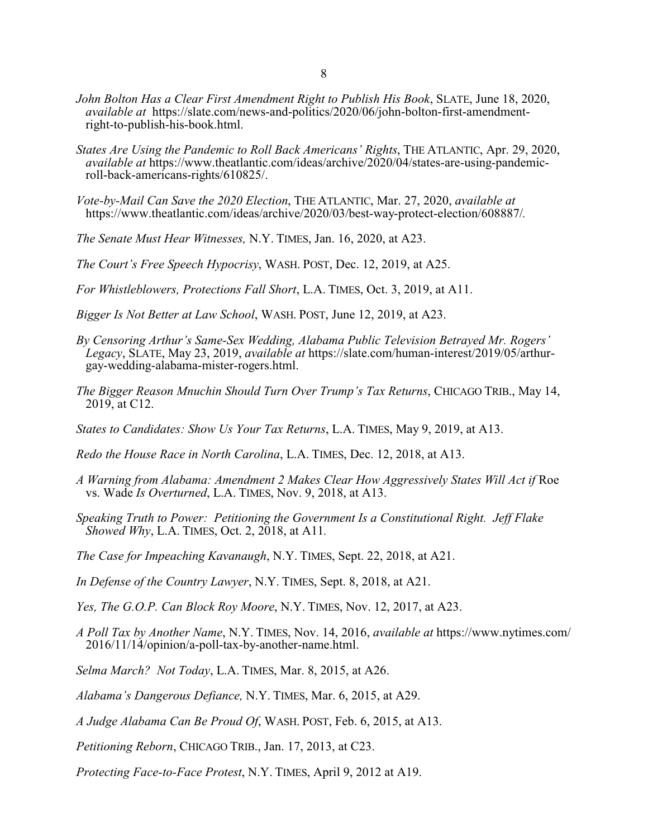- *John Bolton Has a Clear First Amendment Right to Publish His Book*, SLATE, June 18, 2020, *available at* https://slate.com/news-and-politics/2020/06/john-bolton-first-amendment right-to-publish-his-book.html.
- *States Are Using the Pandemic to Roll Back Americans' Rights*, THE ATLANTIC, Apr. 29, 2020, *available at* https://www.theatlantic.com/ideas/archive/2020/04/states-are-using-pandemic roll-back-americans-rights/610825/.
- *Vote-by-Mail Can Save the 2020 Election*, THE ATLANTIC, Mar. 27, 2020, *available at* https://www.theatlantic.com/ideas/archive/2020/03/best-way-protect-election/608887/*.*
- *The Senate Must Hear Witnesses,* N.Y. TIMES, Jan. 16, 2020, at A23.
- *The Court's Free Speech Hypocrisy*, WASH. POST, Dec. 12, 2019, at A25.
- *For Whistleblowers, Protections Fall Short*, L.A. TIMES, Oct. 3, 2019, at A11.
- *Bigger Is Not Better at Law School*, WASH. POST, June 12, 2019, at A23.
- *By Censoring Arthur's Same-Sex Wedding, Alabama Public Television Betrayed Mr. Rogers' Legacy*, SLATE, May 23, 2019, *available at* https://slate.com/human-interest/2019/05/arthur gay-wedding-alabama-mister-rogers.html.
- *The Bigger Reason Mnuchin Should Turn Over Trump's Tax Returns*, CHICAGO TRIB., May 14, 2019, at C12.
- *States to Candidates: Show Us Your Tax Returns*, L.A. TIMES, May 9, 2019, at A13.
- *Redo the House Race in North Carolina*, L.A. TIMES, Dec. 12, 2018, at A13.
- *A Warning from Alabama: Amendment 2 Makes Clear How Aggressively States Will Act if* Roe vs. Wade *Is Overturned*, L.A. TIMES, Nov. 9, 2018, at A13.
- *Speaking Truth to Power: Petitioning the Government Is a Constitutional Right. Jeff Flake Showed Why*, L.A. TIMES, Oct. 2, 2018, at A11*.*
- *The Case for Impeaching Kavanaugh*, N.Y. TIMES, Sept. 22, 2018, at A21.
- *In Defense of the Country Lawyer*, N.Y. TIMES, Sept. 8, 2018, at A21.
- *Yes, The G.O.P. Can Block Roy Moore*, N.Y. TIMES, Nov. 12, 2017, at A23.
- *A Poll Tax by Another Name*, N.Y. TIMES, Nov. 14, 2016, *available at* https://www.nytimes.com/ 2016/11/14/opinion/a-poll-tax-by-another-name.html.
- *Selma March? Not Today*, L.A. TIMES, Mar. 8, 2015, at A26.
- *Alabama's Dangerous Defiance,* N.Y. TIMES, Mar. 6, 2015, at A29.
- *A Judge Alabama Can Be Proud Of*, WASH. POST, Feb. 6, 2015, at A13.
- *Petitioning Reborn*, CHICAGO TRIB., Jan. 17, 2013, at C23.
- *Protecting Face-to-Face Protest*, N.Y. TIMES, April 9, 2012 at A19.